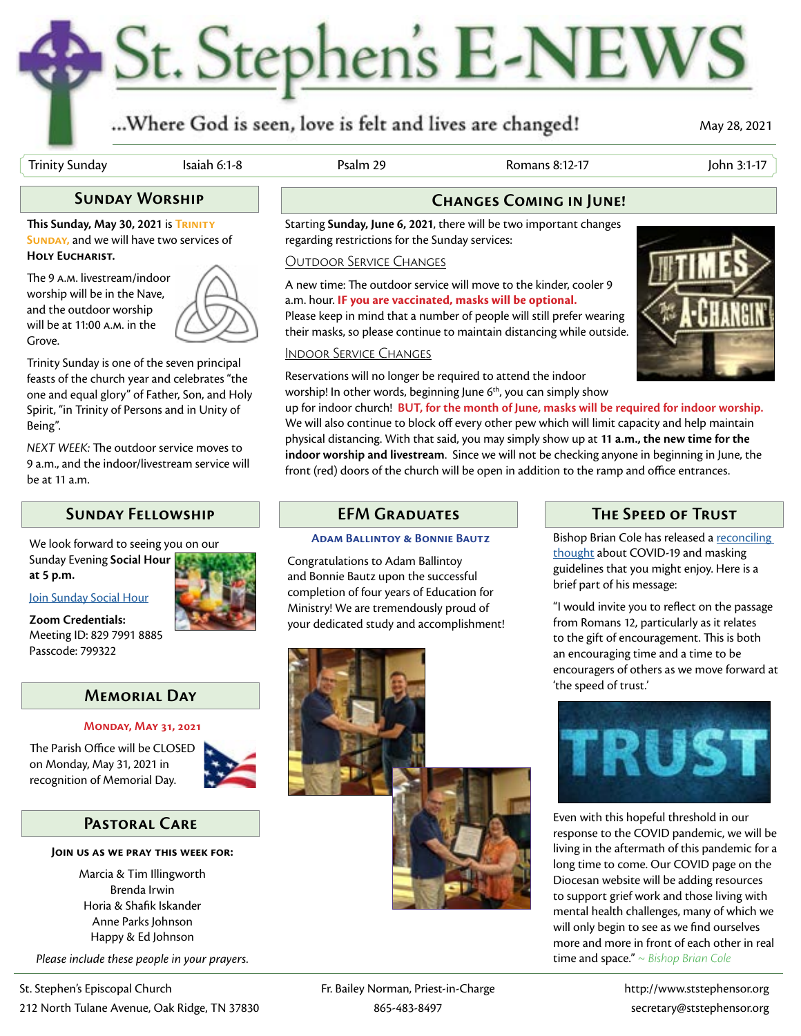# St. Stephen's E-NEWS

# ...Where God is seen, love is felt and lives are changed!

May 28, 2021

Trinity Sunday Isaiah 6:1-8 Psalm 29 Romans 8:12-17 John 3:1-17

**This Sunday, May 30, 2021** is **Trinity SUNDAY, and we will have two services of Holy Eucharist.** 

The 9 a.m. livestream/indoor worship will be in the Nave, and the outdoor worship will be at 11:00 a.m. in the Grove.



Trinity Sunday is one of the seven principal feasts of the church year and celebrates "the one and equal glory" of Father, Son, and Holy Spirit, "in Trinity of Persons and in Unity of Being".

*NEXT WEEK:* The outdoor service moves to 9 a.m., and the indoor/livestream service will be at 11 a.m.

## **Sunday Fellowship**

We look forward to seeing you on our Sunday Evening **[Social Hour](https://us02web.zoom.us/j/81643324827?pwd=ZzdJb1RoVWVLaE0xamxZcGx6Ny91UT09)** 

**at 5 p.m.**

#### [Join Sunday Social Hour](https://us02web.zoom.us/j/82979918885?pwd=SzdTUTRnZjNra3RWTng2LzlsYmQ0QT09)

**Zoom Credentials:** Meeting ID: 829 7991 8885 Passcode: 799322

#### **Memorial Day**

#### **Monday, May 31, 2021**

The Parish Office will be CLOSED on Monday, May 31, 2021 in recognition of Memorial Day.



### **Pastoral Care**

#### **Join us as we pray this week for:**

Marcia & Tim Illingworth Brenda Irwin Horia & Shafik Iskander Anne Parks Johnson Happy & Ed Johnson

*Please include these people in your prayers.*

# **Sunday Worship Changes Coming in June!**

Starting **Sunday, June 6, 2021**, there will be two important changes regarding restrictions for the Sunday services:

#### Outdoor Service Changes

A new time: The outdoor service will move to the kinder, cooler 9 a.m. hour. **IF you are vaccinated, masks will be optional.** Please keep in mind that a number of people will still prefer wearing their masks, so please continue to maintain distancing while outside.

# Indoor Service Changes

Reservations will no longer be required to attend the indoor worship! In other words, beginning June  $6<sup>th</sup>$ , you can simply show

up for indoor church! **BUT, for the month of June, masks will be required for indoor worship.** We will also continue to block off every other pew which will limit capacity and help maintain physical distancing. With that said, you may simply show up at **11 a.m., the new time for the indoor worship and livestream**. Since we will not be checking anyone in beginning in June, the front (red) doors of the church will be open in addition to the ramp and office entrances.

#### **EFM Graduates**

#### **Adam Ballintoy & Bonnie Bautz**

Congratulations to Adam Ballintoy and Bonnie Bautz upon the successful completion of four years of Education for Ministry! We are tremendously proud of your dedicated study and accomplishment!



# **The Speed of Trust**

Bishop Brian Cole has released a reconciling [thought](https://www.dioet.org/blog/the-speed-of-trust-a-covid-19-update/) about COVID-19 and masking guidelines that you might enjoy. Here is a brief part of his message:

"I would invite you to reflect on the passage from Romans 12, particularly as it relates to the gift of encouragement. This is both an encouraging time and a time to be encouragers of others as we move forward at 'the speed of trust.'



Even with this hopeful threshold in our response to the COVID pandemic, we will be living in the aftermath of this pandemic for a long time to come. Our COVID page on the Diocesan website will be adding resources to support grief work and those living with mental health challenges, many of which we will only begin to see as we find ourselves more and more in front of each other in real time and space." *~ Bishop Brian Cole*